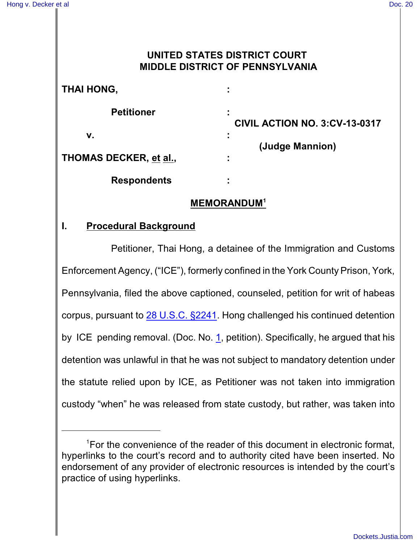## **UNITED STATES DISTRICT COURT MIDDLE DISTRICT OF PENNSYLVANIA**

# **THAI HONG, :**

**Petitioner :**

**v. :**

**CIVIL ACTION NO. 3:CV-13-0317 (Judge Mannion)**

**THOMAS DECKER, et al., :**

**Respondents :**

## **MEMORANDUM<sup>1</sup>**

## **I. Procedural Background**

Petitioner, Thai Hong, a detainee of the Immigration and Customs Enforcement Agency, ("ICE"), formerly confined in the York County Prison, York, Pennsylvania, filed the above captioned, counseled, petition for writ of habeas corpus, pursuant to [28 U.S.C. §2241](http://westlaw.com/find/default.wl?ft=L&docname=28USCAS2241&rs=btil2.0&rp=%2ffind%2fdefault.wl&fn=_top&findtype=L&vr=2.0&db=1000546&wbtoolsId=28USCAS2241&HistoryType=F). Hong challenged his continued detention by ICE pending removal. (Doc. No. [1](http://ecf.pamd.uscourts.gov/doc1/15504075194), petition). Specifically, he argued that his detention was unlawful in that he was not subject to mandatory detention under the statute relied upon by ICE, as Petitioner was not taken into immigration custody "when" he was released from state custody, but rather, was taken into

 $\Gamma$  For the convenience of the reader of this document in electronic format, hyperlinks to the court's record and to authority cited have been inserted. No endorsement of any provider of electronic resources is intended by the court's practice of using hyperlinks.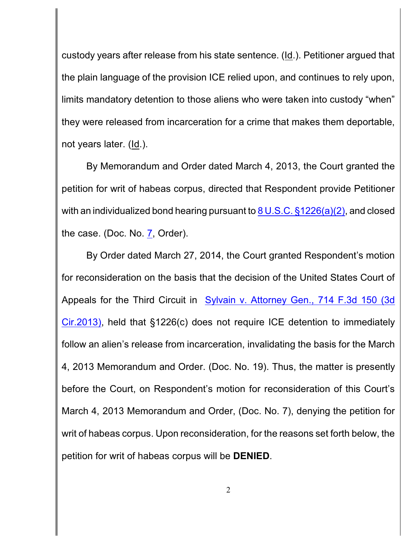custody years after release from his state sentence. (Id.). Petitioner argued that the plain language of the provision ICE relied upon, and continues to rely upon, limits mandatory detention to those aliens who were taken into custody "when" they were released from incarceration for a crime that makes them deportable, not years later. (Id.).

By Memorandum and Order dated March 4, 2013, the Court granted the petition for writ of habeas corpus, directed that Respondent provide Petitioner with an individualized bond hearing pursuant to  $8 \text{ U.S.C.}$   $\S 1226(a)(2)$ , and closed the case. (Doc. No. [7](http://ecf.pamd.uscourts.gov/doc1/15504105270), Order).

By Order dated March 27, 2014, the Court granted Respondent's motion for reconsideration on the basis that the decision of the United States Court of Appeals for the Third Circuit in [Sylvain v. Attorney Gen., 714 F.3d](http://westlaw.com/find/default.wl?ft=Y&db=0000506&rs=btil2.0&rp=%2ffind%2fdefault.wl&serialnum=2030402403&fn=_top&findtype=Y&vr=2.0&wbtoolsId=2030402403&HistoryType=F) 150 (3d [Cir.2013\)](http://westlaw.com/find/default.wl?ft=Y&db=0000506&rs=btil2.0&rp=%2ffind%2fdefault.wl&serialnum=2030402403&fn=_top&findtype=Y&vr=2.0&wbtoolsId=2030402403&HistoryType=F), held that §1226(c) does not require ICE detention to immediately follow an alien's release from incarceration, invalidating the basis for the March 4, 2013 Memorandum and Order. (Doc. No. 19). Thus, the matter is presently before the Court, on Respondent's motion for reconsideration of this Court's March 4, 2013 Memorandum and Order, (Doc. No. 7), denying the petition for writ of habeas corpus. Upon reconsideration, for the reasons set forth below, the petition for writ of habeas corpus will be **DENIED**.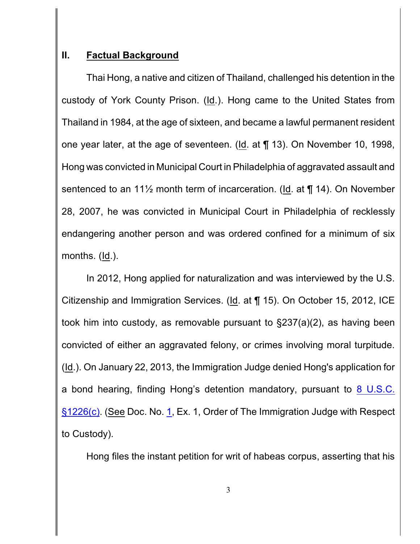#### **II. Factual Background**

Thai Hong, a native and citizen of Thailand, challenged his detention in the custody of York County Prison. (Id.). Hong came to the United States from Thailand in 1984, at the age of sixteen, and became a lawful permanent resident one year later, at the age of seventeen. (Id. at ¶ 13). On November 10, 1998, Hong was convicted in Municipal Court in Philadelphia of aggravated assault and sentenced to an  $11\frac{1}{2}$  month term of incarceration. (Id. at ¶ 14). On November 28, 2007, he was convicted in Municipal Court in Philadelphia of recklessly endangering another person and was ordered confined for a minimum of six months. (Id.).

In 2012, Hong applied for naturalization and was interviewed by the U.S. Citizenship and Immigration Services. (Id. at ¶ 15). On October 15, 2012, ICE took him into custody, as removable pursuant to §237(a)(2), as having been convicted of either an aggravated felony, or crimes involving moral turpitude. (Id.). On January 22, 2013, the Immigration Judge denied Hong's application for a bond hearing, finding Hong's detention mandatory, pursuant to [8 U.S.C.](http://westlaw.com/find/default.wl?ft=L&docname=8USCAS1226&rs=btil2.0&rp=%2ffind%2fdefault.wl&fn=_top&findtype=L&vr=2.0&db=1000546&wbtoolsId=8USCAS1226&HistoryType=F) [§1226\(c\)](http://westlaw.com/find/default.wl?ft=L&docname=8USCAS1226&rs=btil2.0&rp=%2ffind%2fdefault.wl&fn=_top&findtype=L&vr=2.0&db=1000546&wbtoolsId=8USCAS1226&HistoryType=F). (See Doc. No. [1](http://ecf.pamd.uscourts.gov/doc1/15504075194), Ex. 1, Order of The Immigration Judge with Respect to Custody).

Hong files the instant petition for writ of habeas corpus, asserting that his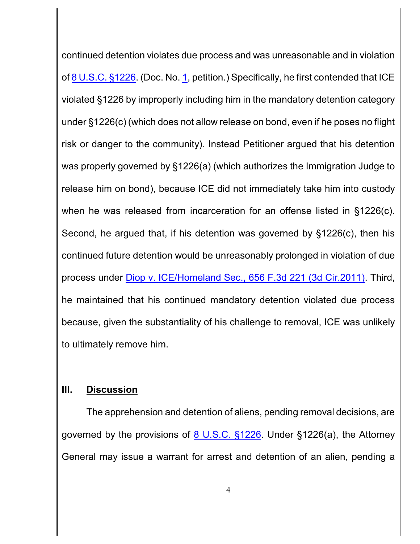continued detention violates due process and was unreasonable and in violation of [8 U.S.C. §1226](http://westlaw.com/find/default.wl?ft=L&docname=8USCAS1226&rs=btil2.0&rp=%2ffind%2fdefault.wl&fn=_top&findtype=L&vr=2.0&db=1000546&wbtoolsId=8USCAS1226&HistoryType=F). (Doc. No. [1](http://ecf.pamd.uscourts.gov/doc1/15504075194), petition.) Specifically, he first contended that ICE violated §1226 by improperly including him in the mandatory detention category under §1226(c) (which does not allow release on bond, even if he poses no flight risk or danger to the community). Instead Petitioner argued that his detention was properly governed by §1226(a) (which authorizes the Immigration Judge to release him on bond), because ICE did not immediately take him into custody when he was released from incarceration for an offense listed in §1226(c). Second, he argued that, if his detention was governed by §1226(c), then his continued future detention would be unreasonably prolonged in violation of due process under [Diop v. ICE/Homeland Sec.,](http://westlaw.com/find/default.wl?ft=Y&db=0000506&rs=btil2.0&rp=%2ffind%2fdefault.wl&serialnum=2025995710&fn=_top&findtype=Y&vr=2.0&wbtoolsId=2025995710&HistoryType=F) 656 F.3d 221 (3d Cir.2011). Third, he maintained that his continued mandatory detention violated due process because, given the substantiality of his challenge to removal, ICE was unlikely to ultimately remove him.

#### **III. Discussion**

The apprehension and detention of aliens, pending removal decisions, are governed by the provisions of  $8 \text{ U.S.C. }$  \$1226. Under \$1226(a), the Attorney General may issue a warrant for arrest and detention of an alien, pending a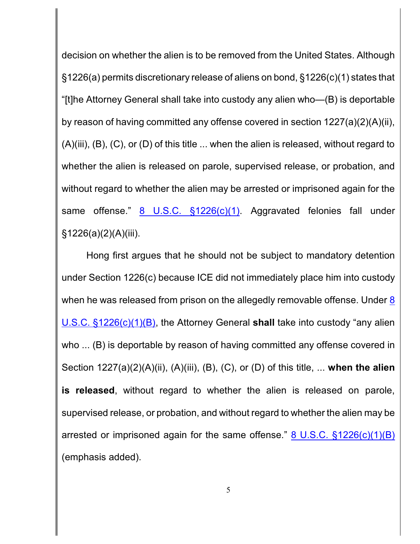decision on whether the alien is to be removed from the United States. Although §1226(a) permits discretionary release of aliens on bond, §1226(c)(1) states that "[t]he Attorney General shall take into custody any alien who—(B) is deportable by reason of having committed any offense covered in section 1227(a)(2)(A)(ii), (A)(iii), (B), (C), or (D) of this title ... when the alien is released, without regard to whether the alien is released on parole, supervised release, or probation, and without regard to whether the alien may be arrested or imprisoned again for the same offense." [8 U.S.C. §1226\(c\)\(1\)](http://westlaw.com/find/default.wl?ft=L&docname=8USCAS1226&rs=btil2.0&rp=%2ffind%2fdefault.wl&fn=_top&findtype=L&vr=2.0&db=1000546&wbtoolsId=8USCAS1226&HistoryType=F). Aggravated felonies fall under §1226(a)(2)(A)(iii).

Hong first argues that he should not be subject to mandatory detention under Section 1226(c) because ICE did not immediately place him into custody when he was released from prison on the allegedly removable offense. Under [8](http://westlaw.com/find/default.wl?ft=L&docname=8USCAS1226&rs=btil2.0&rp=%2ffind%2fdefault.wl&fn=_top&findtype=L&vr=2.0&db=1000546&wbtoolsId=8USCAS1226&HistoryType=F) [U.S.C. §1226\(c\)\(1\)\(B\)](http://westlaw.com/find/default.wl?ft=L&docname=8USCAS1226&rs=btil2.0&rp=%2ffind%2fdefault.wl&fn=_top&findtype=L&vr=2.0&db=1000546&wbtoolsId=8USCAS1226&HistoryType=F), the Attorney General **shall** take into custody "any alien who ... (B) is deportable by reason of having committed any offense covered in Section 1227(a)(2)(A)(ii), (A)(iii), (B), (C), or (D) of this title, ... **when the alien is released**, without regard to whether the alien is released on parole, supervised release, or probation, and without regard to whether the alien may be arrested or imprisoned again for the same offense." [8 U.S.C. §1226\(c\)\(1\)\(B\)](http://westlaw.com/find/default.wl?ft=L&docname=8USCAS1226&rs=btil2.0&rp=%2ffind%2fdefault.wl&fn=_top&findtype=L&vr=2.0&db=1000546&wbtoolsId=8USCAS1226&HistoryType=F) (emphasis added).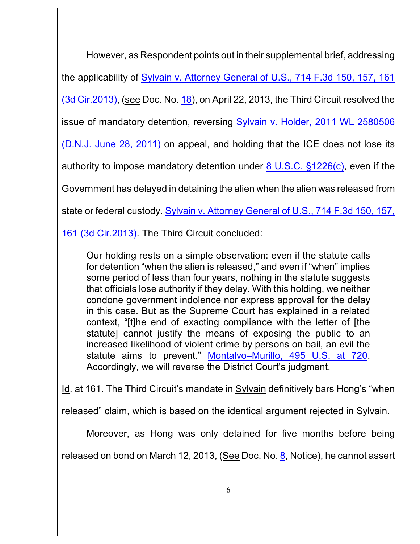However, as Respondent points out in their supplemental brief, addressing the applicability of [Sylvain v. Attorney General of U.S., 714 F.3d 150, 157, 161](http://westlaw.com/find/default.wl?ft=Y&db=0000506&rs=btil2.0&rp=%2ffind%2fdefault.wl&serialnum=2030402403&fn=_top&findtype=Y&vr=2.0&wbtoolsId=2030402403&HistoryType=F) [\(3d Cir.2013\)](http://westlaw.com/find/default.wl?ft=Y&db=0000506&rs=btil2.0&rp=%2ffind%2fdefault.wl&serialnum=2030402403&fn=_top&findtype=Y&vr=2.0&wbtoolsId=2030402403&HistoryType=F), (see Doc. No. [18](http://ecf.pamd.uscourts.gov/doc1/15504224473)), on April 22, 2013, the Third Circuit resolved the issue of mandatory detention, reversing [Sylvain v. Holder, 2011](http://westlaw.com/find/default.wl?ft=Y&db=0000999&rs=btil2.0&rp=%2ffind%2fdefault.wl&serialnum=2025592140&fn=_top&findtype=Y&vr=2.0&wbtoolsId=2025592140&HistoryType=F) WL 2580506 (D.N.J. [June 28,](http://westlaw.com/find/default.wl?ft=Y&db=0000999&rs=btil2.0&rp=%2ffind%2fdefault.wl&serialnum=2025592140&fn=_top&findtype=Y&vr=2.0&wbtoolsId=2025592140&HistoryType=F) 2011) on appeal, and holding that the ICE does not lose its authority to impose mandatory detention under [8 U.S.C. §1226\(c\)](http://westlaw.com/find/default.wl?ft=L&docname=8USCAS1226&rs=btil2.0&rp=%2ffind%2fdefault.wl&fn=_top&findtype=L&vr=2.0&db=1000546&wbtoolsId=8USCAS1226&HistoryType=F), even if the Government has delayed in detaining the alien when the alien was released from state or federal custody. [Sylvain v. Attorney General of](http://westlaw.com/find/default.wl?ft=Y&db=0000506&rs=btil2.0&rp=%2ffind%2fdefault.wl&serialnum=2030402403&fn=_top&findtype=Y&vr=2.0&wbtoolsId=2030402403&HistoryType=F) U.S., 714 F.3d 150, 157,

[161 \(3d Cir.2013\)](http://westlaw.com/find/default.wl?ft=Y&db=0000506&rs=btil2.0&rp=%2ffind%2fdefault.wl&serialnum=2030402403&fn=_top&findtype=Y&vr=2.0&wbtoolsId=2030402403&HistoryType=F). The Third Circuit concluded:

Our holding rests on a simple observation: even if the statute calls for detention "when the alien is released," and even if "when" implies some period of less than four years, nothing in the statute suggests that officials lose authority if they delay. With this holding, we neither condone government indolence nor express approval for the delay in this case. But as the Supreme Court has explained in a related context, "[t]he end of exacting compliance with the letter of [the statute] cannot justify the means of exposing the public to an increased likelihood of violent crime by persons on bail, an evil the statute aims to prevent." [Montalvo–Murillo,](http://westlaw.com/find/default.wl?ft=Y&db=0000780&rs=btil2.0&rp=%2ffind%2fdefault.wl&serialnum=1990084109&fn=_top&findtype=Y&vr=2.0&wbtoolsId=1990084109&HistoryType=F) 495 U.S. at 720. Accordingly, we will reverse the District Court's judgment.

Id. at 161. The Third Circuit's mandate in Sylvain definitively bars Hong's "when

released" claim, which is based on the identical argument rejected in Sylvain.

Moreover, as Hong was only detained for five months before being

released on bond on March 12, 2013, (See Doc. No. [8](http://ecf.pamd.uscourts.gov/doc1/15504116730), Notice), he cannot assert